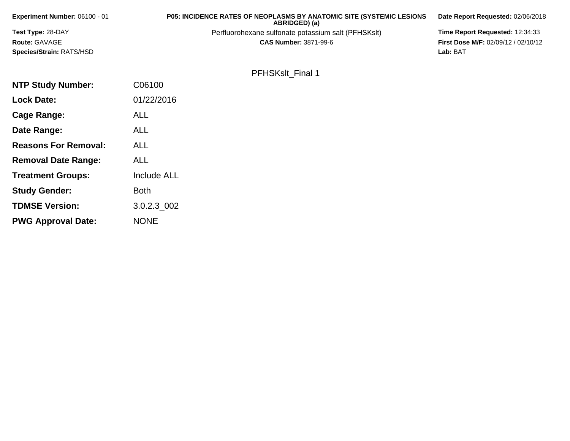| Experiment Number: 06100 - 01 | <b>P05: INCIDENCE RATES OF NEOPLASMS BY ANATOMIC SITE (SYSTEMIC LESIONS)</b><br>ABRIDGED) (a) | Date Report Requested: 02/06/2018          |
|-------------------------------|-----------------------------------------------------------------------------------------------|--------------------------------------------|
| Test Type: 28-DAY             | Perfluorohexane sulfonate potassium salt (PFHSKslt)                                           | Time Report Requested: 12:34:33            |
| Route: GAVAGE                 | <b>CAS Number: 3871-99-6</b>                                                                  | <b>First Dose M/F: 02/09/12 / 02/10/12</b> |
| Species/Strain: RATS/HSD      |                                                                                               | Lab: BAT                                   |
|                               |                                                                                               |                                            |
|                               | <b>PFHSKslt Final 1</b>                                                                       |                                            |
| <b>NTP Study Number:</b>      | C06100                                                                                        |                                            |
| <b>Lock Date:</b>             | 01/22/2016                                                                                    |                                            |
| Cage Range:                   | <b>ALL</b>                                                                                    |                                            |

**Date Range:**

**Reasons For Removal:**

**Removal Date Range:**

**Treatment Groups:**

**Study Gender:**

**TDMSE Version:**

**PWG Approval Date:**

ALL

ALL

ALL

Both

NONE

Include ALL

3.0.2.3\_002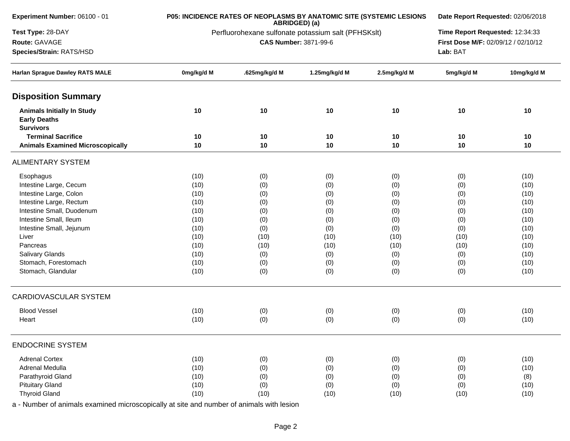| Experiment Number: 06100 - 01                                                |            | P05: INCIDENCE RATES OF NEOPLASMS BY ANATOMIC SITE (SYSTEMIC LESIONS | ABRIDGED) (a)                |              | Date Report Requested: 02/06/2018 |                                                                        |  |
|------------------------------------------------------------------------------|------------|----------------------------------------------------------------------|------------------------------|--------------|-----------------------------------|------------------------------------------------------------------------|--|
| Test Type: 28-DAY                                                            |            | Perfluorohexane sulfonate potassium salt (PFHSKslt)                  |                              |              |                                   | Time Report Requested: 12:34:33<br>First Dose M/F: 02/09/12 / 02/10/12 |  |
| Route: GAVAGE                                                                |            |                                                                      | <b>CAS Number: 3871-99-6</b> |              |                                   |                                                                        |  |
| Species/Strain: RATS/HSD                                                     |            |                                                                      |                              | Lab: BAT     |                                   |                                                                        |  |
| Harlan Sprague Dawley RATS MALE                                              | 0mg/kg/d M | .625mg/kg/d M                                                        | 1.25mg/kg/d M                | 2.5mg/kg/d M | 5mg/kg/d M                        | 10mg/kg/d M                                                            |  |
| <b>Disposition Summary</b>                                                   |            |                                                                      |                              |              |                                   |                                                                        |  |
| <b>Animals Initially In Study</b><br><b>Early Deaths</b><br><b>Survivors</b> | 10         | 10                                                                   | 10                           | 10           | 10                                | 10                                                                     |  |
| <b>Terminal Sacrifice</b>                                                    | 10         | 10                                                                   | 10                           | 10           | 10                                | 10                                                                     |  |
| <b>Animals Examined Microscopically</b>                                      | 10         | 10                                                                   | 10                           | 10           | 10                                | 10                                                                     |  |
| <b>ALIMENTARY SYSTEM</b>                                                     |            |                                                                      |                              |              |                                   |                                                                        |  |
| Esophagus                                                                    | (10)       | (0)                                                                  | (0)                          | (0)          | (0)                               | (10)                                                                   |  |
| Intestine Large, Cecum                                                       | (10)       | (0)                                                                  | (0)                          | (0)          | (0)                               | (10)                                                                   |  |
| Intestine Large, Colon                                                       | (10)       | (0)                                                                  | (0)                          | (0)          | (0)                               | (10)                                                                   |  |
| Intestine Large, Rectum                                                      | (10)       | (0)                                                                  | (0)                          | (0)          | (0)                               | (10)                                                                   |  |
| Intestine Small, Duodenum                                                    | (10)       | (0)                                                                  | (0)                          | (0)          | (0)                               | (10)                                                                   |  |
| Intestine Small, Ileum                                                       | (10)       | (0)                                                                  | (0)                          | (0)          | (0)                               | (10)                                                                   |  |
| Intestine Small, Jejunum                                                     | (10)       | (0)                                                                  | (0)                          | (0)          | (0)                               | (10)                                                                   |  |
| Liver                                                                        | (10)       | (10)                                                                 | (10)                         | (10)         | (10)                              | (10)                                                                   |  |
| Pancreas                                                                     | (10)       | (10)                                                                 | (10)                         | (10)         | (10)                              | (10)                                                                   |  |
| Salivary Glands                                                              | (10)       | (0)                                                                  | (0)                          | (0)          | (0)                               | (10)                                                                   |  |
| Stomach, Forestomach                                                         | (10)       | (0)                                                                  | (0)                          | (0)          | (0)                               | (10)                                                                   |  |
| Stomach, Glandular                                                           | (10)       | (0)                                                                  | (0)                          | (0)          | (0)                               | (10)                                                                   |  |
| <b>CARDIOVASCULAR SYSTEM</b>                                                 |            |                                                                      |                              |              |                                   |                                                                        |  |
| <b>Blood Vessel</b>                                                          | (10)       | (0)                                                                  | (0)                          | (0)          | (0)                               | (10)                                                                   |  |
| Heart                                                                        | (10)       | (0)                                                                  | (0)                          | (0)          | (0)                               | (10)                                                                   |  |
| <b>ENDOCRINE SYSTEM</b>                                                      |            |                                                                      |                              |              |                                   |                                                                        |  |
| <b>Adrenal Cortex</b>                                                        | (10)       | (0)                                                                  | (0)                          | (0)          | (0)                               | (10)                                                                   |  |
| Adrenal Medulla                                                              | (10)       | (0)                                                                  | (0)                          | (0)          | (0)                               | (10)                                                                   |  |
| Parathyroid Gland                                                            | (10)       | (0)                                                                  | (0)                          | (0)          | (0)                               | (8)                                                                    |  |
| <b>Pituitary Gland</b>                                                       | (10)       | (0)                                                                  | (0)                          | (0)          | (0)                               | (10)                                                                   |  |
| <b>Thyroid Gland</b>                                                         | (10)       | (10)                                                                 | (10)                         | (10)         | (10)                              | (10)                                                                   |  |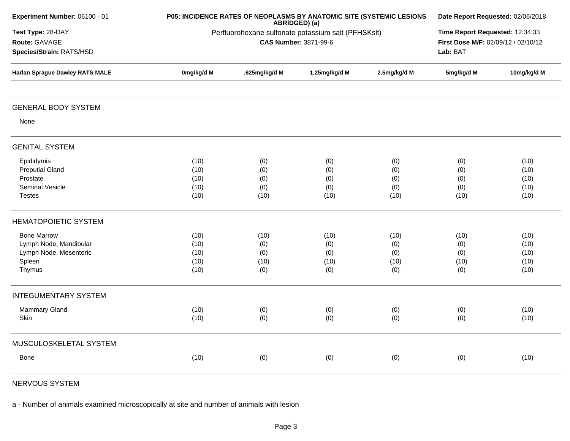| Experiment Number: 06100 - 01                                                              |                                                     | P05: INCIDENCE RATES OF NEOPLASMS BY ANATOMIC SITE (SYSTEMIC LESIONS               | ABRIDGED) (a)                     |                                   | Date Report Requested: 02/06/2018 |                                      |  |  |
|--------------------------------------------------------------------------------------------|-----------------------------------------------------|------------------------------------------------------------------------------------|-----------------------------------|-----------------------------------|-----------------------------------|--------------------------------------|--|--|
| Test Type: 28-DAY<br>Route: GAVAGE<br>Species/Strain: RATS/HSD                             | Perfluorohexane sulfonate potassium salt (PFHSKslt) | Time Report Requested: 12:34:33<br>First Dose M/F: 02/09/12 / 02/10/12<br>Lab: BAT |                                   |                                   |                                   |                                      |  |  |
| <b>Harlan Sprague Dawley RATS MALE</b>                                                     | 0mg/kg/d M                                          | .625mg/kg/d M                                                                      | 1.25mg/kg/d M                     | 2.5mg/kg/d M                      | 5mg/kg/d M                        | 10mg/kg/d M                          |  |  |
| <b>GENERAL BODY SYSTEM</b>                                                                 |                                                     |                                                                                    |                                   |                                   |                                   |                                      |  |  |
| None                                                                                       |                                                     |                                                                                    |                                   |                                   |                                   |                                      |  |  |
| <b>GENITAL SYSTEM</b>                                                                      |                                                     |                                                                                    |                                   |                                   |                                   |                                      |  |  |
| Epididymis<br><b>Preputial Gland</b><br>Prostate<br>Seminal Vesicle<br><b>Testes</b>       | (10)<br>(10)<br>(10)<br>(10)<br>(10)                | (0)<br>(0)<br>(0)<br>(0)<br>(10)                                                   | (0)<br>(0)<br>(0)<br>(0)<br>(10)  | (0)<br>(0)<br>(0)<br>(0)<br>(10)  | (0)<br>(0)<br>(0)<br>(0)<br>(10)  | (10)<br>(10)<br>(10)<br>(10)<br>(10) |  |  |
| <b>HEMATOPOIETIC SYSTEM</b>                                                                |                                                     |                                                                                    |                                   |                                   |                                   |                                      |  |  |
| <b>Bone Marrow</b><br>Lymph Node, Mandibular<br>Lymph Node, Mesenteric<br>Spleen<br>Thymus | (10)<br>(10)<br>(10)<br>(10)<br>(10)                | (10)<br>(0)<br>(0)<br>(10)<br>(0)                                                  | (10)<br>(0)<br>(0)<br>(10)<br>(0) | (10)<br>(0)<br>(0)<br>(10)<br>(0) | (10)<br>(0)<br>(0)<br>(10)<br>(0) | (10)<br>(10)<br>(10)<br>(10)<br>(10) |  |  |
| <b>INTEGUMENTARY SYSTEM</b>                                                                |                                                     |                                                                                    |                                   |                                   |                                   |                                      |  |  |
| <b>Mammary Gland</b><br>Skin                                                               | (10)<br>(10)                                        | (0)<br>(0)                                                                         | (0)<br>(0)                        | (0)<br>(0)                        | (0)<br>(0)                        | (10)<br>(10)                         |  |  |
| MUSCULOSKELETAL SYSTEM                                                                     |                                                     |                                                                                    |                                   |                                   |                                   |                                      |  |  |
| <b>Bone</b>                                                                                | (10)                                                | (0)                                                                                | (0)                               | (0)                               | (0)                               | (10)                                 |  |  |

NERVOUS SYSTEM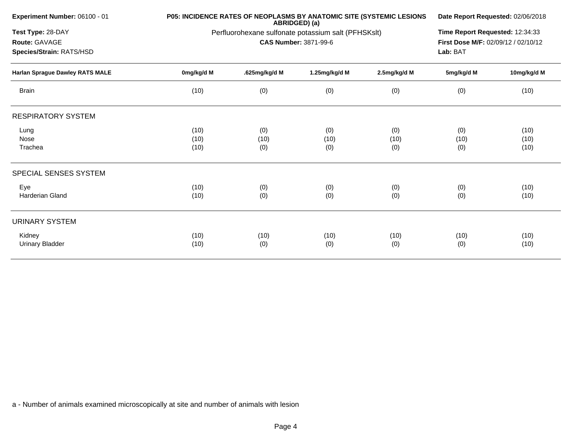| Experiment Number: 06100 - 01<br>Test Type: 28-DAY<br>Route: GAVAGE<br>Species/Strain: RATS/HSD<br><b>Harlan Sprague Dawley RATS MALE</b> |                      | P05: INCIDENCE RATES OF NEOPLASMS BY ANATOMIC SITE (SYSTEMIC LESIONS | ABRIDGED) (a)                |                    |                                                                                                                                                                                    |              |  |  |
|-------------------------------------------------------------------------------------------------------------------------------------------|----------------------|----------------------------------------------------------------------|------------------------------|--------------------|------------------------------------------------------------------------------------------------------------------------------------------------------------------------------------|--------------|--|--|
|                                                                                                                                           |                      | Perfluorohexane sulfonate potassium salt (PFHSKslt)                  | <b>CAS Number: 3871-99-6</b> |                    | Date Report Requested: 02/06/2018<br>Time Report Requested: 12:34:33<br>First Dose M/F: 02/09/12 / 02/10/12<br>Lab: BAT<br>5mg/kg/d M<br>10mg/kg/d M<br>(0)<br>(10)<br>(10)<br>(0) |              |  |  |
|                                                                                                                                           | 0mg/kg/d M           | .625mg/kg/d M                                                        | 1.25mg/kg/d M                | 2.5mg/kg/d M       |                                                                                                                                                                                    |              |  |  |
| <b>Brain</b>                                                                                                                              | (10)                 | (0)                                                                  | (0)                          | (0)                |                                                                                                                                                                                    |              |  |  |
| <b>RESPIRATORY SYSTEM</b>                                                                                                                 |                      |                                                                      |                              |                    |                                                                                                                                                                                    |              |  |  |
| Lung<br>Nose<br>Trachea                                                                                                                   | (10)<br>(10)<br>(10) | (0)<br>(10)<br>(0)                                                   | (0)<br>(10)<br>(0)           | (0)<br>(10)<br>(0) | (10)<br>(0)                                                                                                                                                                        | (10)<br>(10) |  |  |
| SPECIAL SENSES SYSTEM                                                                                                                     |                      |                                                                      |                              |                    |                                                                                                                                                                                    |              |  |  |
| Eye<br><b>Harderian Gland</b>                                                                                                             | (10)<br>(10)         | (0)<br>(0)                                                           | (0)<br>(0)                   | (0)<br>(0)         | (0)<br>(0)                                                                                                                                                                         | (10)<br>(10) |  |  |
| <b>URINARY SYSTEM</b>                                                                                                                     |                      |                                                                      |                              |                    |                                                                                                                                                                                    |              |  |  |
| Kidney<br><b>Urinary Bladder</b>                                                                                                          | (10)<br>(10)         | (10)<br>(0)                                                          | (10)<br>(0)                  | (10)<br>(0)        | (10)<br>(0)                                                                                                                                                                        | (10)<br>(10) |  |  |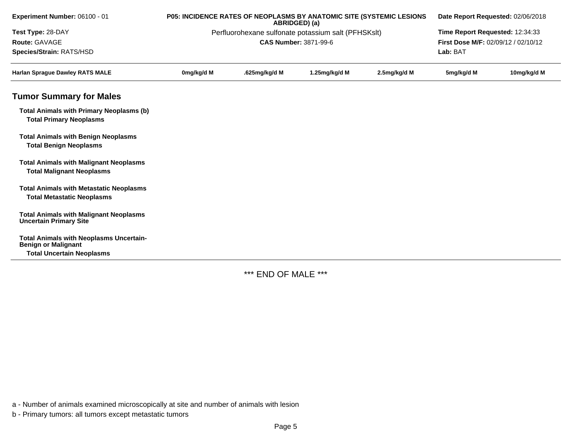| P05: INCIDENCE RATES OF NEOPLASMS BY ANATOMIC SITE (SYSTEMIC LESIONS<br>ABRIDGED) (a) |               |               | Date Report Requested: 02/06/2018 |                                                     |             |  |
|---------------------------------------------------------------------------------------|---------------|---------------|-----------------------------------|-----------------------------------------------------|-------------|--|
|                                                                                       |               |               |                                   | Time Report Requested: 12:34:33                     |             |  |
|                                                                                       |               |               |                                   | First Dose M/F: 02/09/12 / 02/10/12                 |             |  |
| Lab: BAT                                                                              |               |               |                                   |                                                     |             |  |
| 0mg/kg/d M                                                                            | .625mg/kg/d M | 1.25mg/kg/d M | 2.5mg/kg/d M                      | 5mg/kg/d M                                          | 10mg/kg/d M |  |
|                                                                                       |               |               |                                   |                                                     |             |  |
|                                                                                       |               |               |                                   |                                                     |             |  |
|                                                                                       |               |               |                                   |                                                     |             |  |
|                                                                                       |               |               |                                   |                                                     |             |  |
|                                                                                       |               |               |                                   |                                                     |             |  |
|                                                                                       |               |               |                                   |                                                     |             |  |
|                                                                                       |               |               |                                   |                                                     |             |  |
|                                                                                       |               |               | <b>CAS Number: 3871-99-6</b>      | Perfluorohexane sulfonate potassium salt (PFHSKslt) |             |  |

\*\*\* END OF MALE \*\*\*

a - Number of animals examined microscopically at site and number of animals with lesion

b - Primary tumors: all tumors except metastatic tumors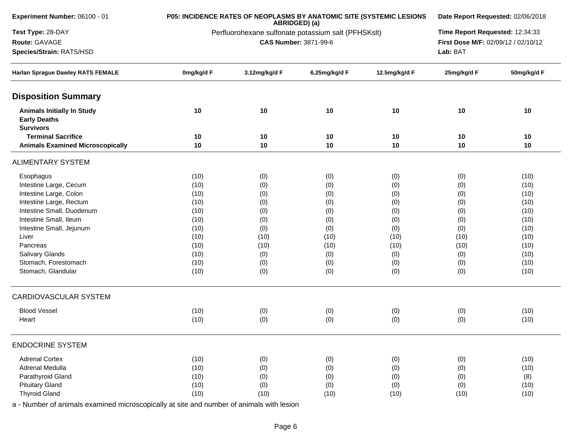| Experiment Number: 06100 - 01                                                |            | P05: INCIDENCE RATES OF NEOPLASMS BY ANATOMIC SITE (SYSTEMIC LESIONS | ABRIDGED) (a)                |               |      |                                                                                                                                                                                                                                                                                                                                                                                    |  |
|------------------------------------------------------------------------------|------------|----------------------------------------------------------------------|------------------------------|---------------|------|------------------------------------------------------------------------------------------------------------------------------------------------------------------------------------------------------------------------------------------------------------------------------------------------------------------------------------------------------------------------------------|--|
| Test Type: 28-DAY                                                            |            | Perfluorohexane sulfonate potassium salt (PFHSKslt)                  |                              |               |      | Date Report Requested: 02/06/2018<br>Time Report Requested: 12:34:33<br>First Dose M/F: 02/09/12 / 02/10/12<br>25mg/kg/d F<br>50mg/kg/d F<br>10<br>10<br>10<br>10<br>10<br>10<br>(10)<br>(0)<br>(0)<br>(10)<br>(0)<br>(10)<br>(10)<br>(0)<br>(0)<br>(10)<br>(0)<br>(10)<br>(0)<br>(10)<br>(10)<br>(10)<br>(10)<br>(10)<br>(10)<br>(0)<br>(10)<br>(0)<br>(0)<br>(10)<br>(0)<br>(10) |  |
| Route: GAVAGE                                                                |            |                                                                      | <b>CAS Number: 3871-99-6</b> |               |      |                                                                                                                                                                                                                                                                                                                                                                                    |  |
| Species/Strain: RATS/HSD                                                     | Lab: BAT   |                                                                      |                              |               |      |                                                                                                                                                                                                                                                                                                                                                                                    |  |
| Harlan Sprague Dawley RATS FEMALE                                            | 0mg/kg/d F | 3.12mg/kg/d F                                                        | 6.25mg/kg/d F                | 12.5mg/kg/d F |      |                                                                                                                                                                                                                                                                                                                                                                                    |  |
| <b>Disposition Summary</b>                                                   |            |                                                                      |                              |               |      |                                                                                                                                                                                                                                                                                                                                                                                    |  |
| <b>Animals Initially In Study</b><br><b>Early Deaths</b><br><b>Survivors</b> | 10         | 10                                                                   | 10                           | 10            |      |                                                                                                                                                                                                                                                                                                                                                                                    |  |
| <b>Terminal Sacrifice</b>                                                    | 10         | 10                                                                   | 10                           | 10            |      |                                                                                                                                                                                                                                                                                                                                                                                    |  |
| <b>Animals Examined Microscopically</b>                                      | 10         | 10                                                                   | 10                           | 10            |      |                                                                                                                                                                                                                                                                                                                                                                                    |  |
| <b>ALIMENTARY SYSTEM</b>                                                     |            |                                                                      |                              |               |      |                                                                                                                                                                                                                                                                                                                                                                                    |  |
| Esophagus                                                                    | (10)       | (0)                                                                  | (0)                          | (0)           |      |                                                                                                                                                                                                                                                                                                                                                                                    |  |
| Intestine Large, Cecum                                                       | (10)       | (0)                                                                  | (0)                          | (0)           |      |                                                                                                                                                                                                                                                                                                                                                                                    |  |
| Intestine Large, Colon                                                       | (10)       | (0)                                                                  | (0)                          | (0)           |      |                                                                                                                                                                                                                                                                                                                                                                                    |  |
| Intestine Large, Rectum                                                      | (10)       | (0)                                                                  | (0)                          | (0)           |      |                                                                                                                                                                                                                                                                                                                                                                                    |  |
| Intestine Small, Duodenum                                                    | (10)       | (0)                                                                  | (0)                          | (0)           |      |                                                                                                                                                                                                                                                                                                                                                                                    |  |
| Intestine Small, Ileum                                                       | (10)       | (0)                                                                  | (0)                          | (0)           |      |                                                                                                                                                                                                                                                                                                                                                                                    |  |
| Intestine Small, Jejunum                                                     | (10)       | (0)                                                                  | (0)                          | (0)           |      |                                                                                                                                                                                                                                                                                                                                                                                    |  |
| Liver                                                                        | (10)       | (10)                                                                 | (10)                         | (10)          |      |                                                                                                                                                                                                                                                                                                                                                                                    |  |
| Pancreas                                                                     | (10)       | (10)                                                                 | (10)                         | (10)          |      |                                                                                                                                                                                                                                                                                                                                                                                    |  |
| Salivary Glands                                                              | (10)       | (0)                                                                  | (0)                          | (0)           |      |                                                                                                                                                                                                                                                                                                                                                                                    |  |
| Stomach, Forestomach                                                         | (10)       | (0)                                                                  | (0)                          | (0)           |      |                                                                                                                                                                                                                                                                                                                                                                                    |  |
| Stomach, Glandular                                                           | (10)       | (0)                                                                  | (0)                          | (0)           |      |                                                                                                                                                                                                                                                                                                                                                                                    |  |
| <b>CARDIOVASCULAR SYSTEM</b>                                                 |            |                                                                      |                              |               |      |                                                                                                                                                                                                                                                                                                                                                                                    |  |
| <b>Blood Vessel</b>                                                          | (10)       | (0)                                                                  | (0)                          | (0)           |      |                                                                                                                                                                                                                                                                                                                                                                                    |  |
| Heart                                                                        | (10)       | (0)                                                                  | (0)                          | (0)           | (0)  | (10)                                                                                                                                                                                                                                                                                                                                                                               |  |
| <b>ENDOCRINE SYSTEM</b>                                                      |            |                                                                      |                              |               |      |                                                                                                                                                                                                                                                                                                                                                                                    |  |
| <b>Adrenal Cortex</b>                                                        | (10)       | (0)                                                                  | (0)                          | (0)           | (0)  | (10)                                                                                                                                                                                                                                                                                                                                                                               |  |
| Adrenal Medulla                                                              | (10)       | (0)                                                                  | (0)                          | (0)           | (0)  | (10)                                                                                                                                                                                                                                                                                                                                                                               |  |
| Parathyroid Gland                                                            | (10)       | (0)                                                                  | (0)                          | (0)           | (0)  | (8)                                                                                                                                                                                                                                                                                                                                                                                |  |
| <b>Pituitary Gland</b>                                                       | (10)       | (0)                                                                  | (0)                          | (0)           | (0)  | (10)                                                                                                                                                                                                                                                                                                                                                                               |  |
| <b>Thyroid Gland</b>                                                         | (10)       | (10)                                                                 | (10)                         | (10)          | (10) | (10)                                                                                                                                                                                                                                                                                                                                                                               |  |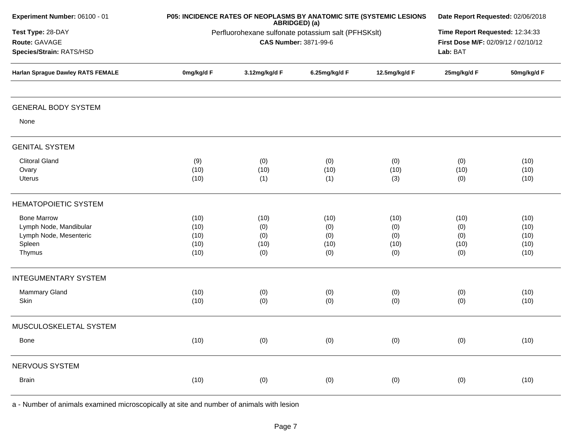| Experiment Number: 06100 - 01                                                              |                                                                                     | P05: INCIDENCE RATES OF NEOPLASMS BY ANATOMIC SITE (SYSTEMIC LESIONS | ABRIDGED) (a)                     |                                   | Date Report Requested: 02/06/2018                                                  |                                      |  |  |
|--------------------------------------------------------------------------------------------|-------------------------------------------------------------------------------------|----------------------------------------------------------------------|-----------------------------------|-----------------------------------|------------------------------------------------------------------------------------|--------------------------------------|--|--|
| Test Type: 28-DAY<br>Route: GAVAGE<br>Species/Strain: RATS/HSD                             | Perfluorohexane sulfonate potassium salt (PFHSKslt)<br><b>CAS Number: 3871-99-6</b> |                                                                      |                                   |                                   | Time Report Requested: 12:34:33<br>First Dose M/F: 02/09/12 / 02/10/12<br>Lab: BAT |                                      |  |  |
| <b>Harlan Sprague Dawley RATS FEMALE</b>                                                   | 0mg/kg/d F                                                                          | 3.12mg/kg/d F                                                        | 6.25mg/kg/d F                     | 12.5mg/kg/d F                     | 25mg/kg/d F                                                                        | 50mg/kg/d F                          |  |  |
| <b>GENERAL BODY SYSTEM</b>                                                                 |                                                                                     |                                                                      |                                   |                                   |                                                                                    |                                      |  |  |
| None                                                                                       |                                                                                     |                                                                      |                                   |                                   |                                                                                    |                                      |  |  |
| <b>GENITAL SYSTEM</b>                                                                      |                                                                                     |                                                                      |                                   |                                   |                                                                                    |                                      |  |  |
| <b>Clitoral Gland</b><br>Ovary<br>Uterus                                                   | (9)<br>(10)<br>(10)                                                                 | (0)<br>(10)<br>(1)                                                   | (0)<br>(10)<br>(1)                | (0)<br>(10)<br>(3)                | (0)<br>(10)<br>(0)                                                                 | (10)<br>(10)<br>(10)                 |  |  |
| <b>HEMATOPOIETIC SYSTEM</b>                                                                |                                                                                     |                                                                      |                                   |                                   |                                                                                    |                                      |  |  |
| <b>Bone Marrow</b><br>Lymph Node, Mandibular<br>Lymph Node, Mesenteric<br>Spleen<br>Thymus | (10)<br>(10)<br>(10)<br>(10)<br>(10)                                                | (10)<br>(0)<br>(0)<br>(10)<br>(0)                                    | (10)<br>(0)<br>(0)<br>(10)<br>(0) | (10)<br>(0)<br>(0)<br>(10)<br>(0) | (10)<br>(0)<br>(0)<br>(10)<br>(0)                                                  | (10)<br>(10)<br>(10)<br>(10)<br>(10) |  |  |
| <b>INTEGUMENTARY SYSTEM</b>                                                                |                                                                                     |                                                                      |                                   |                                   |                                                                                    |                                      |  |  |
| Mammary Gland<br>Skin                                                                      | (10)<br>(10)                                                                        | (0)<br>(0)                                                           | (0)<br>(0)                        | (0)<br>(0)                        | (0)<br>(0)                                                                         | (10)<br>(10)                         |  |  |
| MUSCULOSKELETAL SYSTEM                                                                     |                                                                                     |                                                                      |                                   |                                   |                                                                                    |                                      |  |  |
| Bone                                                                                       | (10)                                                                                | (0)                                                                  | (0)                               | (0)                               | (0)                                                                                | (10)                                 |  |  |
| NERVOUS SYSTEM                                                                             |                                                                                     |                                                                      |                                   |                                   |                                                                                    |                                      |  |  |
| <b>Brain</b>                                                                               | (10)                                                                                | (0)                                                                  | (0)                               | (0)                               | (0)                                                                                | (10)                                 |  |  |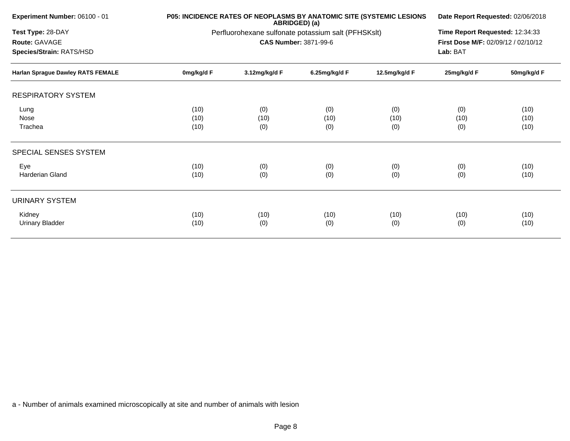| <b>Experiment Number: 06100 - 01</b><br>Test Type: 28-DAY<br>Route: GAVAGE<br>Species/Strain: RATS/HSD |                      | <b>P05: INCIDENCE RATES OF NEOPLASMS BY ANATOMIC SITE (SYSTEMIC LESIONS</b> | ABRIDGED) (a)                |                    | Date Report Requested: 02/06/2018                                                  |                      |
|--------------------------------------------------------------------------------------------------------|----------------------|-----------------------------------------------------------------------------|------------------------------|--------------------|------------------------------------------------------------------------------------|----------------------|
|                                                                                                        |                      | Perfluorohexane sulfonate potassium salt (PFHSKslt)                         | <b>CAS Number: 3871-99-6</b> |                    | Time Report Requested: 12:34:33<br>First Dose M/F: 02/09/12 / 02/10/12<br>Lab: BAT |                      |
| Harlan Sprague Dawley RATS FEMALE                                                                      | 0mg/kg/d F           | 3.12mg/kg/d F                                                               | 6.25mg/kg/d F                | 12.5mg/kg/d F      | 25mg/kg/d F                                                                        | 50mg/kg/d F          |
| <b>RESPIRATORY SYSTEM</b>                                                                              |                      |                                                                             |                              |                    |                                                                                    |                      |
| Lung<br>Nose<br>Trachea                                                                                | (10)<br>(10)<br>(10) | (0)<br>(10)<br>(0)                                                          | (0)<br>(10)<br>(0)           | (0)<br>(10)<br>(0) | (0)<br>(10)<br>(0)                                                                 | (10)<br>(10)<br>(10) |
| SPECIAL SENSES SYSTEM                                                                                  |                      |                                                                             |                              |                    |                                                                                    |                      |
| Eye<br>Harderian Gland                                                                                 | (10)<br>(10)         | (0)<br>(0)                                                                  | (0)<br>(0)                   | (0)<br>(0)         | (0)<br>(0)                                                                         | (10)<br>(10)         |
| URINARY SYSTEM                                                                                         |                      |                                                                             |                              |                    |                                                                                    |                      |
| Kidney<br>Urinary Bladder                                                                              | (10)<br>(10)         | (10)<br>(0)                                                                 | (10)<br>(0)                  | (10)<br>(0)        | (10)<br>(0)                                                                        | (10)<br>(10)         |